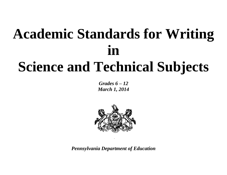# **Academic Standards for Writing in Science and Technical Subjects**

*Grades 6 – 12 March 1, 2014*



*Pennsylvania Department of Education*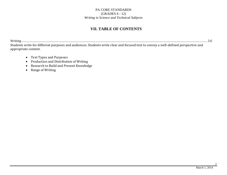## **VII. TABLE OF CONTENTS**

Writing ........................................................................................................................................................................................................................ 3.6 Students write for different purposes and audiences. Students write clear and focused text to convey a well-defined perspective and appropriate content.

- Text Types and Purposes
- Production and Distribution of Writing
- Research to Build and Present Knowledge
- Range of Writing

2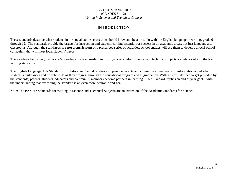### **INTRODUCTION**

These standards describe what students in the social studies classroom should know and be able to do with the English language in writing, grade 6 through 12. The standards provide the targets for instruction and student learning essential for success in all academic areas, not just language arts classrooms. Although the **standards are not a curriculum** or a prescribed series of activities, school entities will use them to develop a local school curriculum that will meet local students' needs.

The standards below begin at grade 6; standards for K–5 reading in history/social studies, science, and technical subjects are integrated into the K–5 Writing standards.

The English Language Arts Standards for History and Social Studies also provide parents and community members with information about what students should know and be able to do as they progress through the educational program and at graduation. With a clearly defined target provided by the standards, parents, students, educators and community members become partners in learning. Each standard implies an end of year goal – with the understanding that exceeding the standard is an even more desirable end goal.

Note: The PA Core Standards for Writing in Science and Technical Subjects are an extension of the Academic Standards for Science.

3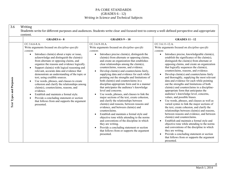| 3.6                     | Writing<br>Students write for different purposes and audiences. Students write clear and focused text to convey a well-defined perspective and appropriate<br>content.                                                                                                                                                                                                                                                                                                                                                                                                                                                                                                                                                                                                                            |                                                                                                                                                                                                                                                                                                                                                                                                                                                                                                                                                                                                                                                                                                                                                                                                                                                                                                                                                                                                                                                                                                                                                                             |                                                                                                                                                                                                                                                                                                                                                                                                                                                                                                                                                                                                                                                                                                                                                                                                                                                                                                                                                                                                                                                                                                                                                                                                                                                                                                               |  |  |
|-------------------------|---------------------------------------------------------------------------------------------------------------------------------------------------------------------------------------------------------------------------------------------------------------------------------------------------------------------------------------------------------------------------------------------------------------------------------------------------------------------------------------------------------------------------------------------------------------------------------------------------------------------------------------------------------------------------------------------------------------------------------------------------------------------------------------------------|-----------------------------------------------------------------------------------------------------------------------------------------------------------------------------------------------------------------------------------------------------------------------------------------------------------------------------------------------------------------------------------------------------------------------------------------------------------------------------------------------------------------------------------------------------------------------------------------------------------------------------------------------------------------------------------------------------------------------------------------------------------------------------------------------------------------------------------------------------------------------------------------------------------------------------------------------------------------------------------------------------------------------------------------------------------------------------------------------------------------------------------------------------------------------------|---------------------------------------------------------------------------------------------------------------------------------------------------------------------------------------------------------------------------------------------------------------------------------------------------------------------------------------------------------------------------------------------------------------------------------------------------------------------------------------------------------------------------------------------------------------------------------------------------------------------------------------------------------------------------------------------------------------------------------------------------------------------------------------------------------------------------------------------------------------------------------------------------------------------------------------------------------------------------------------------------------------------------------------------------------------------------------------------------------------------------------------------------------------------------------------------------------------------------------------------------------------------------------------------------------------|--|--|
|                         | <b>GRADES 6 - 8</b>                                                                                                                                                                                                                                                                                                                                                                                                                                                                                                                                                                                                                                                                                                                                                                               | <b>GRADES <math>9-10</math></b>                                                                                                                                                                                                                                                                                                                                                                                                                                                                                                                                                                                                                                                                                                                                                                                                                                                                                                                                                                                                                                                                                                                                             | <b>GRADES 11 - 12</b>                                                                                                                                                                                                                                                                                                                                                                                                                                                                                                                                                                                                                                                                                                                                                                                                                                                                                                                                                                                                                                                                                                                                                                                                                                                                                         |  |  |
| Text Types and Purposes | CC.3.6.6-8.A.<br>Write arguments focused on <i>discipline-specific</i><br>content.<br>Introduce claim(s) about a topic or issue,<br>$\bullet$<br>acknowledge and distinguish the claim(s)<br>from alternate or opposing claims, and<br>organize the reasons and evidence logically.<br>Support claim(s) with logical reasoning and<br>$\bullet$<br>relevant, accurate data and evidence that<br>demonstrate an understanding of the topic or<br>text, using credible sources.<br>Use words, phrases, and clauses to create<br>cohesion and clarify the relationships among<br>claim(s), counterclaims, reasons, and<br>evidence.<br>Establish and maintain a formal style.<br>Provide a concluding statement or section<br>$\bullet$<br>that follows from and supports the argument<br>presented. | CC.3.6.9-10.A.<br>Write arguments focused on <i>discipline-specific</i><br>content.<br>Introduce precise claim(s), distinguish the<br>$\bullet$<br>claim(s) from alternate or opposing claims,<br>and create an organization that establishes<br>clear relationships among the claim(s),<br>counterclaims, reasons, and evidence.<br>Develop claim(s) and counterclaims fairly,<br>$\bullet$<br>supplying data and evidence for each while<br>pointing out the strengths and limitations of<br>both claim(s) and counterclaims in a<br>discipline-appropriate form and in a manner<br>that anticipates the audience's knowledge<br>level and concerns.<br>Use words, phrases, and clauses to link the<br>major sections of the text, create cohesion,<br>and clarify the relationships between<br>claim(s) and reasons, between reasons and<br>evidence, and between claim(s) and<br>counterclaims.<br>Establish and maintain a formal style and<br>objective tone while attending to the norms<br>and conventions of the discipline in which<br>they are writing.<br>Provide a concluding statement or section<br>that follows from or supports the argument<br>presented. | CC.3.6.11-12.A.<br>Write arguments focused on <i>discipline-specific</i><br>content.<br>Introduce precise, knowledgeable claim(s),<br>$\bullet$<br>establish the significance of the claim(s),<br>distinguish the claim(s) from alternate or<br>opposing claims, and create an organization<br>that logically sequences the claim(s),<br>counterclaims, reasons, and evidence.<br>Develop claim(s) and counterclaims fairly<br>$\bullet$<br>and thoroughly, supplying the most relevant<br>data and evidence for each while pointing<br>out the strengths and limitations of both<br>claim(s) and counterclaims in a discipline-<br>appropriate form that anticipates the<br>audience's knowledge level, concerns,<br>values, and possible biases.<br>Use words, phrases, and clauses as well as<br>varied syntax to link the major sections of<br>the text, create cohesion, and clarify the<br>relationships between claim(s) and reasons,<br>between reasons and evidence, and between<br>claim(s) and counterclaims.<br>Establish and maintain a formal style and<br>objective tone while attending to the norms<br>and conventions of the discipline in which<br>they are writing.<br>Provide a concluding statement or section<br>$\bullet$<br>that follows from or supports the argument<br>presented. |  |  |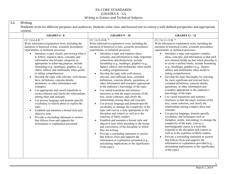| <b>GRADES 6 - 8</b>                                                                                                                                                                                                                                                                                                                                                                                                                                                                                                                                                                                                                                                                                                                                                                                                                                                                                                                                                                                                                                                                                                               | <b>GRADES 9-10</b>                                                                                                                                                                                                                                                                                                                                                                                                                                                                                                                                                                                                                                                                                                                                                                                                                                                                                                                                                                                                                                                                                                                                                                                                                                                                                                                                                                                                                                                                              | <b>GRADES 11 - 12</b>                                                                                                                                                                                                                                                                                                                                                                                                                                                                                                                                                                                                                                                                                                                                                                                                                                                                                                                                                                                                                                                                                                                                                                                                                                                                                                                                                                                                                                                                          |
|-----------------------------------------------------------------------------------------------------------------------------------------------------------------------------------------------------------------------------------------------------------------------------------------------------------------------------------------------------------------------------------------------------------------------------------------------------------------------------------------------------------------------------------------------------------------------------------------------------------------------------------------------------------------------------------------------------------------------------------------------------------------------------------------------------------------------------------------------------------------------------------------------------------------------------------------------------------------------------------------------------------------------------------------------------------------------------------------------------------------------------------|-------------------------------------------------------------------------------------------------------------------------------------------------------------------------------------------------------------------------------------------------------------------------------------------------------------------------------------------------------------------------------------------------------------------------------------------------------------------------------------------------------------------------------------------------------------------------------------------------------------------------------------------------------------------------------------------------------------------------------------------------------------------------------------------------------------------------------------------------------------------------------------------------------------------------------------------------------------------------------------------------------------------------------------------------------------------------------------------------------------------------------------------------------------------------------------------------------------------------------------------------------------------------------------------------------------------------------------------------------------------------------------------------------------------------------------------------------------------------------------------------|------------------------------------------------------------------------------------------------------------------------------------------------------------------------------------------------------------------------------------------------------------------------------------------------------------------------------------------------------------------------------------------------------------------------------------------------------------------------------------------------------------------------------------------------------------------------------------------------------------------------------------------------------------------------------------------------------------------------------------------------------------------------------------------------------------------------------------------------------------------------------------------------------------------------------------------------------------------------------------------------------------------------------------------------------------------------------------------------------------------------------------------------------------------------------------------------------------------------------------------------------------------------------------------------------------------------------------------------------------------------------------------------------------------------------------------------------------------------------------------------|
| $CC.3.6.6-8.B.$ *<br>Write informative/explanatory texts, including the<br>narration of historical events, scientific procedures/<br>experiments, or technical processes.<br>Introduce a topic clearly, previewing what is<br>$\bullet$<br>to follow; organize ideas, concepts, and<br>information into broader categories as<br>appropriate to achieving purpose; include<br>formatting (e.g., headings), graphics (e.g.,<br>charts, tables), and multimedia when useful<br>to aiding comprehension.<br>Develop the topic with relevant, well-chosen<br>$\bullet$<br>facts, definitions, concrete details,<br>quotations, or other information and<br>examples.<br>Use appropriate and varied transitions to<br>$\bullet$<br>create cohesion and clarify the relationships<br>among ideas and concepts.<br>Use precise language and domain-specific<br>$\bullet$<br>vocabulary to inform about or explain the<br>topic.<br>Establish and maintain a formal style and<br>$\bullet$<br>objective tone.<br>Provide a concluding statement or section<br>that follows from and supports the<br>information or explanation presented. | $CC.3.6.9-10.B.$ *<br>Write informative/explanatory texts, including the<br>narration of historical events, scientific procedures/<br>experiments, or technical processes.<br>Introduce a topic and organize ideas,<br>$\bullet$<br>concepts, and information to make important<br>connections and distinctions; include<br>formatting (e.g., headings), graphics (e.g.,<br>figures, tables), and multimedia when useful<br>to aiding comprehension.<br>Develop the topic with well-chosen,<br>$\bullet$<br>relevant, and sufficient facts, extended<br>definitions, concrete details, quotations, or<br>other information and examples appropriate<br>to the audience's knowledge of the topic.<br>Use varied transitions and sentence<br>$\bullet$<br>structures to link the major sections of the<br>text, create cohesion, and clarify the<br>relationships among ideas and concepts.<br>Use precise language and domain-specific<br>vocabulary to manage the complexity of the<br>topic and convey a style appropriate to the<br>discipline and context as well as to the<br>expertise of likely readers.<br>Establish and maintain a formal style and<br>$\bullet$<br>objective tone while attending to the norms<br>and conventions of the discipline in which<br>they are writing.<br>Provide a concluding statement or section<br>that follows from and supports the<br>information or explanation presented (e.g.,<br>articulating implications or the significance<br>of the topic). | $CC.3.6.11-12.B.$ *<br>Write informative/explanatory texts, including the<br>narration of historical events, scientific procedures/<br>experiments, or technical processes.<br>Introduce a topic and organize complex<br>$\bullet$<br>ideas, concepts, and information so that each<br>new element builds on that which precedes it<br>to create a unified whole; include formatting<br>(e.g., headings), graphics (e.g., figures,<br>tables), and multimedia when useful to<br>aiding comprehension.<br>Develop the topic thoroughly by selecting<br>the most significant and relevant facts,<br>extended definitions, concrete details,<br>quotations, or other information and<br>examples appropriate to the audience's<br>knowledge of the topic.<br>Use varied transitions and sentence<br>$\bullet$<br>structures to link the major sections of the<br>text, create cohesion, and clarify the<br>relationships among complex ideas and<br>concepts.<br>Use precise language, domain-specific<br>$\bullet$<br>vocabulary and techniques such as<br>metaphor, simile, and analogy to manage the<br>complexity of the topic; convey a<br>knowledgeable stance in a style that<br>responds to the discipline and context as<br>well as to the expertise of likely readers.<br>Provide a concluding statement or section<br>$\bullet$<br>that follows from and supports the<br>information or explanation provided (e.g.,<br>articulating implications or the significance<br>of the topic). |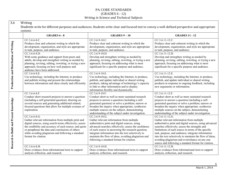| 3.6 | Writing                   |
|-----|---------------------------|
|     | Students write for differ |

rent purposes and audiences. Students write clear and focused text to convey a well-defined perspective and appropriate content.

|                                         | <b>GRADES 6 - 8</b>                                                                                                                                                                                                                                                                                                         | <b>GRADES 9-10</b>                                                                                                                                                                                                                                                                                                                                                                      | <b>GRADES 11 - 12</b>                                                                                                                                                                                                                                                                                                                                                                                                                                         |
|-----------------------------------------|-----------------------------------------------------------------------------------------------------------------------------------------------------------------------------------------------------------------------------------------------------------------------------------------------------------------------------|-----------------------------------------------------------------------------------------------------------------------------------------------------------------------------------------------------------------------------------------------------------------------------------------------------------------------------------------------------------------------------------------|---------------------------------------------------------------------------------------------------------------------------------------------------------------------------------------------------------------------------------------------------------------------------------------------------------------------------------------------------------------------------------------------------------------------------------------------------------------|
| Production and Distribution of Writing  | CC.3.6.6-8.C.<br>Produce clear and coherent writing in which the<br>development, organization, and style are appropriate<br>to task, purpose, and audience.                                                                                                                                                                 | CC.3.6.9-10.C.<br>Produce clear and coherent writing in which the<br>development, organization, and style are appropriate<br>to task, purpose, and audience.                                                                                                                                                                                                                            | CC.3.6.11-12.C.<br>Produce clear and coherent writing in which the<br>development, organization, and style are appropriate<br>to task, purpose, and audience.                                                                                                                                                                                                                                                                                                 |
|                                         | $CC.3.6.6-8.D.$<br>With some guidance and support from peers and<br>adults, develop and strengthen writing as needed by<br>planning, revising, editing, rewriting, or trying a new<br>approach, focusing on how well purpose and<br>audience have been addressed.                                                           | $CC.3.6.9-10.D.$<br>Develop and strengthen writing as needed by<br>planning, revising, editing, rewriting, or trying a new<br>approach, focusing on addressing what is most<br>significant for a specific purpose and audience.                                                                                                                                                         | $CC.3.6.11-12.D.$<br>Develop and strengthen writing as needed by<br>planning, revising, editing, rewriting, or trying a new<br>approach, focusing on addressing what is most<br>significant for a specific purpose and audience.                                                                                                                                                                                                                              |
|                                         | $CC.3.6.6-8.E.$<br>Use technology, including the Internet, to produce<br>and publish writing and present the relationships<br>between information and ideas clearly and efficiently.                                                                                                                                        | $CC.3.6.9-10.E.$<br>Use technology, including the Internet, to produce,<br>publish, and update individual or shared writing<br>products, taking advantage of technology's capacity<br>to link to other information and to display<br>information flexibly and dynamically.                                                                                                              | CC.3.6.11-12.E.<br>Use technology, including the Internet, to produce,<br>publish, and update individual or shared writing<br>products in response to ongoing feedback, including<br>new arguments or information.                                                                                                                                                                                                                                            |
| Research to Build and Present Knowledge | CC.3.6.6-8.F.<br>Conduct short research projects to answer a question<br>(including a self-generated question), drawing on<br>several sources and generating additional related,<br>focused questions that allow for multiple avenues of<br>exploration.                                                                    | CC.3.6.9-10.F.<br>Conduct short as well as more sustained research<br>projects to answer a question (including a self-<br>generated question) or solve a problem; narrow or<br>broaden the inquiry when appropriate; synthesize<br>multiple sources on the subject, demonstrating<br>understanding of the subject under investigation.                                                  | CC.3.6.11-12.F.<br>Conduct short as well as more sustained research<br>projects to answer a question (including a self-<br>generated question) or solve a problem; narrow or<br>broaden the inquiry when appropriate; synthesize<br>multiple sources on the subject, demonstrating<br>understanding of the subject under investigation.                                                                                                                       |
|                                         | CC.3.6.6-8.G.<br>Gather relevant information from multiple print and<br>digital sources, using search terms effectively; assess<br>the credibility and accuracy of each source; and quote<br>or paraphrase the data and conclusions of others<br>while avoiding plagiarism and following a standard<br>format for citation. | $CC.3.6.9-10.G.$<br>Gather relevant information from multiple<br>authoritative print and digital sources, using<br>advanced searches effectively; assess the usefulness<br>of each source in answering the research question;<br>integrate information into the text selectively to<br>maintain the flow of ideas, avoiding plagiarism and<br>following a standard format for citation. | CC.3.6.11-12.G.<br>Gather relevant information from multiple<br>authoritative print and digital sources, using advanced<br>searches effectively; assess the strengths and<br>limitations of each source in terms of the specific<br>task, purpose, and audience; integrate information<br>into the text selectively to maintain the flow of ideas,<br>avoiding plagiarism and overreliance on any one<br>source and following a standard format for citation. |
|                                         | $CC.3.6.6-8.H.$<br>Draw evidence from informational texts to support<br>analysis reflection, and research.                                                                                                                                                                                                                  | CC.3.6.9-10.H.<br>Draw evidence from informational texts to support<br>analysis, reflection, and research.                                                                                                                                                                                                                                                                              | CC.3.6.11-12.H.<br>Draw evidence from informational texts to support<br>analysis, reflection, and research.                                                                                                                                                                                                                                                                                                                                                   |

6